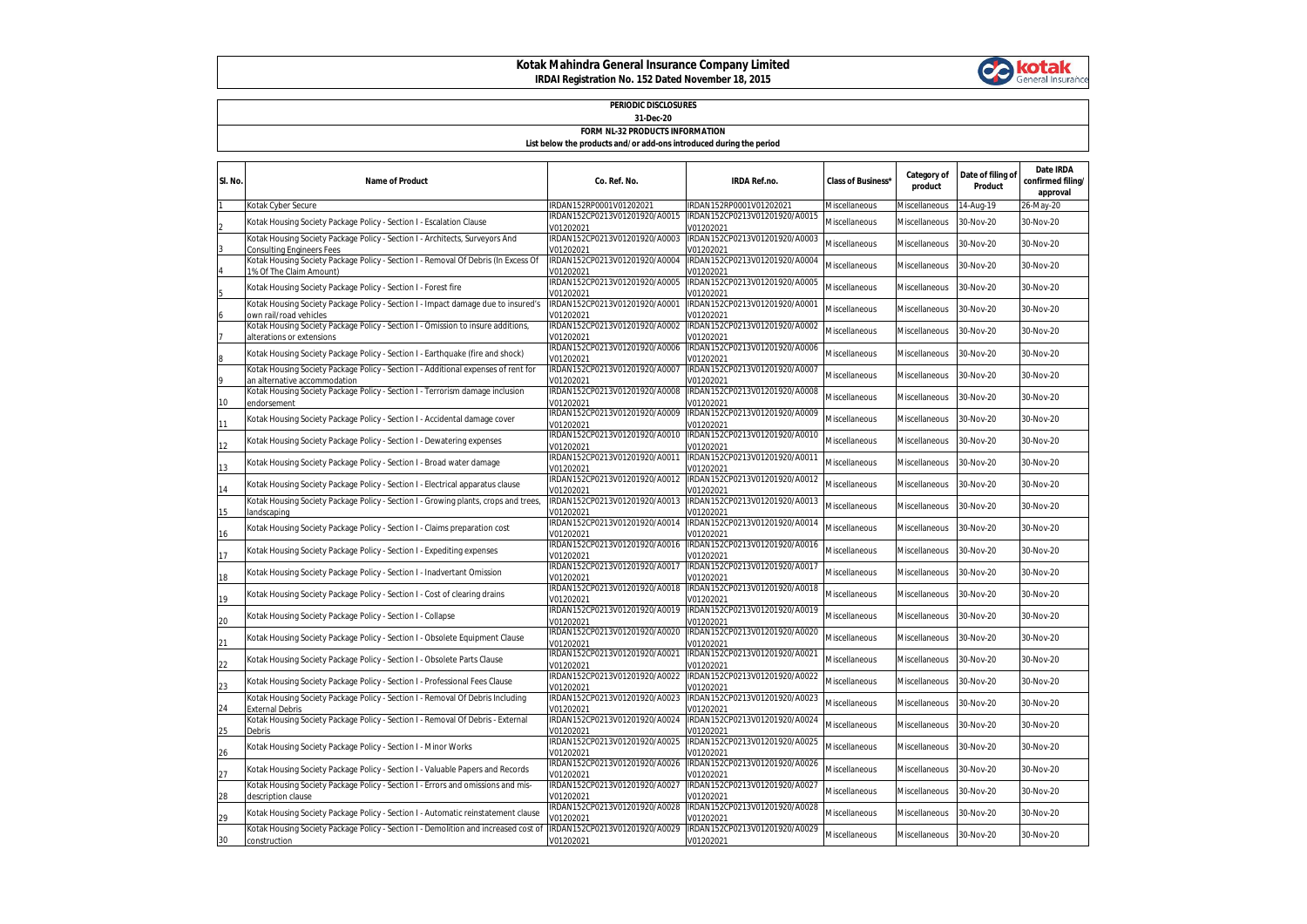## **Kotak Mahindra General Insurance Company Limited IRDAI Registration No. 152 Dated November 18, 2015**



## **PERIODIC DISCLOSURES 31-Dec-20**

## **FORM NL-32 PRODUCTS INFORMATION List below the products and/or add-ons introduced during the period**

| SI. No. | <b>Name of Product</b>                                                                                             | Co. Ref. No.                               | <b>IRDA Ref.no.</b>                        | <b>Class of Business'</b> | Category of<br>product | Date of filing of<br>Product | Date IRDA<br>confirmed filing/<br>approval |
|---------|--------------------------------------------------------------------------------------------------------------------|--------------------------------------------|--------------------------------------------|---------------------------|------------------------|------------------------------|--------------------------------------------|
|         | Kotak Cyber Secure                                                                                                 | IRDAN152RP0001V01202021                    | IRDAN152RP0001V01202021                    | Miscellaneous             | Miscellaneous          | 14-Aug-19                    | 26-May-20                                  |
|         | Kotak Housing Society Package Policy - Section I - Escalation Clause                                               | IRDAN152CP0213V01201920/A0015<br>V01202021 | IRDAN152CP0213V01201920/A0015<br>V01202021 | Miscellaneous             | Miscellaneous          | 30-Nov-20                    | 30-Nov-20                                  |
|         | Kotak Housing Society Package Policy - Section I - Architects, Surveyors And<br>Consulting Engineers Fees          | IRDAN152CP0213V01201920/A0003<br>/01202021 | IRDAN152CP0213V01201920/A0003<br>V01202021 | Miscellaneous             | Miscellaneous          | 30-Nov-20                    | 30-Nov-20                                  |
|         | Kotak Housing Society Package Policy - Section I - Removal Of Debris (In Excess Of<br>1% Of The Claim Amount)      | IRDAN152CP0213V01201920/A0004<br>/01202021 | IRDAN152CP0213V01201920/A0004<br>V01202021 | Miscellaneous             | Miscellaneous          | 30-Nov-20                    | 30-Nov-20                                  |
|         | Kotak Housing Society Package Policy - Section I - Forest fire                                                     | IRDAN152CP0213V01201920/A0005<br>V01202021 | IRDAN152CP0213V01201920/A0005<br>V01202021 | Miscellaneous             | Miscellaneous          | 30-Nov-20                    | 30-Nov-20                                  |
|         | Kotak Housing Society Package Policy - Section I - Impact damage due to insured's<br>own rail/road vehicles        | IRDAN152CP0213V01201920/A0001<br>V01202021 | IRDAN152CP0213V01201920/A0001<br>V01202021 | Miscellaneous             | Miscellaneous          | 30-Nov-20                    | 30-Nov-20                                  |
|         | Kotak Housing Society Package Policy - Section I - Omission to insure additions,<br>alterations or extensions      | IRDAN152CP0213V01201920/A0002<br>V01202021 | IRDAN152CP0213V01201920/A0002<br>V01202021 | Miscellaneous             | Miscellaneous          | 30-Nov-20                    | 30-Nov-20                                  |
|         | Kotak Housing Society Package Policy - Section I - Earthquake (fire and shock)                                     | IRDAN152CP0213V01201920/A0006<br>/01202021 | IRDAN152CP0213V01201920/A0006<br>V01202021 | Miscellaneous             | Miscellaneous          | 30-Nov-20                    | 30-Nov-20                                  |
|         | Kotak Housing Society Package Policy - Section I - Additional expenses of rent for<br>an alternative accommodation | IRDAN152CP0213V01201920/A0007<br>V01202021 | IRDAN152CP0213V01201920/A0007<br>V01202021 | Miscellaneous             | Miscellaneous          | 30-Nov-20                    | 30-Nov-20                                  |
| 10      | Kotak Housing Society Package Policy - Section I - Terrorism damage inclusion<br>endorsement                       | IRDAN152CP0213V01201920/A0008<br>V01202021 | IRDAN152CP0213V01201920/A0008<br>V01202021 | Miscellaneous             | Miscellaneous          | 30-Nov-20                    | 30-Nov-20                                  |
| 11      | Kotak Housing Society Package Policy - Section I - Accidental damage cover                                         | IRDAN152CP0213V01201920/A0009<br>V01202021 | IRDAN152CP0213V01201920/A0009<br>V01202021 | Miscellaneous             | Miscellaneous          | 30-Nov-20                    | 30-Nov-20                                  |
| 12      | Kotak Housing Society Package Policy - Section I - Dewatering expenses                                             | IRDAN152CP0213V01201920/A0010<br>V01202021 | IRDAN152CP0213V01201920/A0010<br>V01202021 | Miscellaneous             | Miscellaneous          | 30-Nov-20                    | 30-Nov-20                                  |
| 13      | Kotak Housing Society Package Policy - Section I - Broad water damage                                              | IRDAN152CP0213V01201920/A0011<br>/01202021 | IRDAN152CP0213V01201920/A0011<br>V01202021 | Miscellaneous             | Miscellaneous          | 30-Nov-20                    | 30-Nov-20                                  |
| 14      | Kotak Housing Society Package Policy - Section I - Electrical apparatus clause                                     | IRDAN152CP0213V01201920/A0012<br>V01202021 | IRDAN152CP0213V01201920/A0012<br>V01202021 | Miscellaneous             | Miscellaneous          | 30-Nov-20                    | 30-Nov-20                                  |
| 15      | Kotak Housing Society Package Policy - Section I - Growing plants, crops and trees,<br>landscaping                 | IRDAN152CP0213V01201920/A0013<br>V01202021 | IRDAN152CP0213V01201920/A0013<br>V01202021 | Miscellaneous             | Miscellaneous          | 30-Nov-20                    | 30-Nov-20                                  |
| 16      | Kotak Housing Society Package Policy - Section I - Claims preparation cost                                         | IRDAN152CP0213V01201920/A0014<br>V01202021 | IRDAN152CP0213V01201920/A0014<br>V01202021 | Miscellaneous             | Miscellaneous          | 30-Nov-20                    | 30-Nov-20                                  |
| 17      | Kotak Housing Society Package Policy - Section I - Expediting expenses                                             | IRDAN152CP0213V01201920/A0016<br>V01202021 | IRDAN152CP0213V01201920/A0016<br>V01202021 | Miscellaneous             | Miscellaneous          | 30-Nov-20                    | 30-Nov-20                                  |
| 18      | Kotak Housing Society Package Policy - Section I - Inadvertant Omission                                            | IRDAN152CP0213V01201920/A0017<br>/01202021 | IRDAN152CP0213V01201920/A0017<br>V01202021 | Miscellaneous             | Miscellaneous          | 30-Nov-20                    | 30-Nov-20                                  |
| 19      | Kotak Housing Society Package Policy - Section I - Cost of clearing drains                                         | IRDAN152CP0213V01201920/A0018<br>/01202021 | IRDAN152CP0213V01201920/A0018<br>V01202021 | Miscellaneous             | Miscellaneous          | 30-Nov-20                    | 30-Nov-20                                  |
| 20      | Kotak Housing Society Package Policy - Section I - Collapse                                                        | IRDAN152CP0213V01201920/A0019<br>V01202021 | IRDAN152CP0213V01201920/A0019<br>V01202021 | Miscellaneous             | Miscellaneous          | 30-Nov-20                    | 30-Nov-20                                  |
| 21      | Kotak Housing Society Package Policy - Section I - Obsolete Equipment Clause                                       | IRDAN152CP0213V01201920/A0020<br>V01202021 | IRDAN152CP0213V01201920/A0020<br>V01202021 | Miscellaneous             | Miscellaneous          | 30-Nov-20                    | 30-Nov-20                                  |
| 22      | Kotak Housing Society Package Policy - Section I - Obsolete Parts Clause                                           | IRDAN152CP0213V01201920/A0021<br>V01202021 | IRDAN152CP0213V01201920/A0021<br>V01202021 | Miscellaneous             | Miscellaneous          | 30-Nov-20                    | 30-Nov-20                                  |
| 23      | Kotak Housing Society Package Policy - Section I - Professional Fees Clause                                        | IRDAN152CP0213V01201920/A0022<br>V01202021 | IRDAN152CP0213V01201920/A0022<br>V01202021 | Miscellaneous             | Miscellaneous          | 30-Nov-20                    | 30-Nov-20                                  |
| 24      | Kotak Housing Society Package Policy - Section I - Removal Of Debris Including<br>External Debris                  | IRDAN152CP0213V01201920/A0023<br>V01202021 | IRDAN152CP0213V01201920/A0023<br>V01202021 | Miscellaneous             | Miscellaneous          | 30-Nov-20                    | 30-Nov-20                                  |
| 25      | Kotak Housing Society Package Policy - Section I - Removal Of Debris - External<br>Debris                          | IRDAN152CP0213V01201920/A0024<br>V01202021 | IRDAN152CP0213V01201920/A0024<br>V01202021 | Miscellaneous             | Miscellaneous          | 30-Nov-20                    | 30-Nov-20                                  |
| 26      | Kotak Housing Society Package Policy - Section I - Minor Works                                                     | IRDAN152CP0213V01201920/A0025<br>V01202021 | IRDAN152CP0213V01201920/A0025<br>V01202021 | Miscellaneous             | Miscellaneous          | 30-Nov-20                    | 30-Nov-20                                  |
| 27      | Kotak Housing Society Package Policy - Section I - Valuable Papers and Records                                     | IRDAN152CP0213V01201920/A0026<br>V01202021 | IRDAN152CP0213V01201920/A0026<br>V01202021 | Miscellaneous             | Miscellaneous          | 30-Nov-20                    | 30-Nov-20                                  |
| 28      | Kotak Housing Society Package Policy - Section I - Errors and omissions and mis-<br>description clause             | IRDAN152CP0213V01201920/A0027<br>V01202021 | IRDAN152CP0213V01201920/A0027<br>V01202021 | Miscellaneous             | Miscellaneous          | 30-Nov-20                    | 30-Nov-20                                  |
| 29      | Kotak Housing Society Package Policy - Section I - Automatic reinstatement clause                                  | IRDAN152CP0213V01201920/A0028<br>/01202021 | IRDAN152CP0213V01201920/A0028<br>/01202021 | Miscellaneous             | Miscellaneous          | 30-Nov-20                    | 30-Nov-20                                  |
| 30      | Kotak Housing Society Package Policy - Section I - Demolition and increased cost of<br>construction                | IRDAN152CP0213V01201920/A0029<br>V01202021 | IRDAN152CP0213V01201920/A0029<br>V01202021 | <b>Miscellaneous</b>      | <b>Miscellaneous</b>   | 30-Nov-20                    | 30-Nov-20                                  |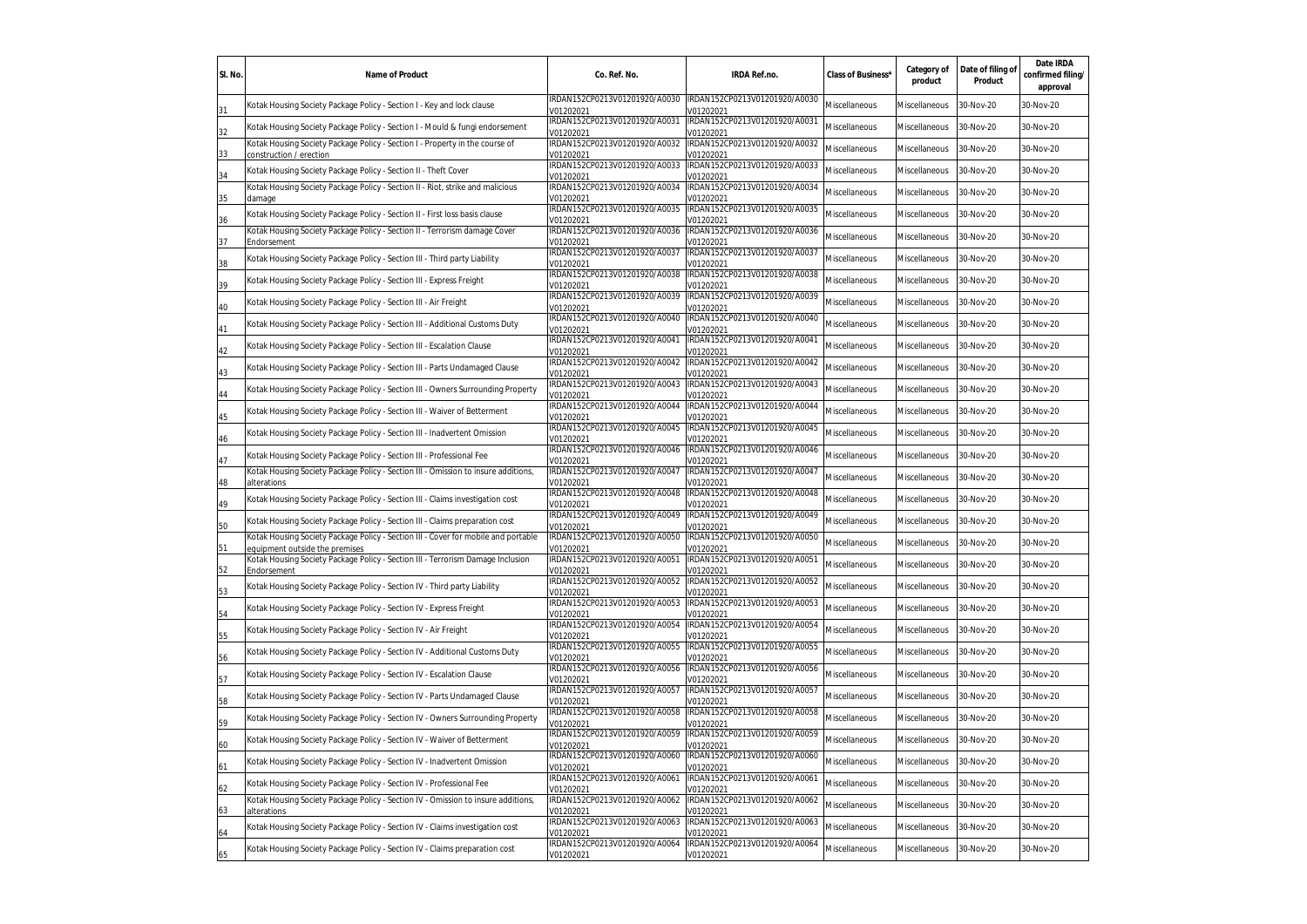| SI. No. | <b>Name of Product</b>                                                                                               | Co. Ref. No.                               | IRDA Ref.no.                               | <b>Class of Business'</b> | Category of<br>product | Date of filing of<br>Product | Date IRDA<br>confirmed filing/<br>approval |
|---------|----------------------------------------------------------------------------------------------------------------------|--------------------------------------------|--------------------------------------------|---------------------------|------------------------|------------------------------|--------------------------------------------|
| 31      | Kotak Housing Society Package Policy - Section I - Key and lock clause                                               | RDAN152CP0213V01201920/A0030<br>/01202021  | IRDAN152CP0213V01201920/A0030<br>V01202021 | Miscellaneous             | Miscellaneous          | 30-Nov-20                    | 30-Nov-20                                  |
| 32      | Kotak Housing Society Package Policy - Section I - Mould & fungi endorsement                                         | IRDAN152CP0213V01201920/A0031<br>V01202021 | IRDAN152CP0213V01201920/A0031<br>V01202021 | Miscellaneous             | Miscellaneous          | 30-Nov-20                    | 30-Nov-20                                  |
| 33      | Kotak Housing Society Package Policy - Section I - Property in the course of<br>construction / erection              | IRDAN152CP0213V01201920/A0032<br>V01202021 | IRDAN152CP0213V01201920/A0032<br>V01202021 | Miscellaneous             | Miscellaneous          | 30-Nov-20                    | 30-Nov-20                                  |
| 34      | Kotak Housing Society Package Policy - Section II - Theft Cover                                                      | IRDAN152CP0213V01201920/A0033<br>V01202021 | IRDAN152CP0213V01201920/A0033<br>V01202021 | <b>Miscellaneous</b>      | Miscellaneous          | 30-Nov-20                    | 30-Nov-20                                  |
| 35      | Kotak Housing Society Package Policy - Section II - Riot, strike and malicious<br>damage                             | IRDAN152CP0213V01201920/A0034<br>V01202021 | IRDAN152CP0213V01201920/A0034<br>V01202021 | <b>Miscellaneous</b>      | Miscellaneous          | 30-Nov-20                    | 30-Nov-20                                  |
| 36      | Kotak Housing Society Package Policy - Section II - First loss basis clause                                          | IRDAN152CP0213V01201920/A0035<br>V01202021 | IRDAN152CP0213V01201920/A0035<br>V01202021 | <b>Miscellaneous</b>      | Miscellaneous          | 30-Nov-20                    | 30-Nov-20                                  |
| 37      | Kotak Housing Society Package Policy - Section II - Terrorism damage Cover<br>Endorsement                            | IRDAN152CP0213V01201920/A0036<br>V01202021 | IRDAN152CP0213V01201920/A0036<br>V01202021 | Miscellaneous             | Miscellaneous          | 30-Nov-20                    | 30-Nov-20                                  |
| 38      | Kotak Housing Society Package Policy - Section III - Third party Liability                                           | IRDAN152CP0213V01201920/A0037<br>V01202021 | IRDAN152CP0213V01201920/A0037<br>V01202021 | Miscellaneous             | Miscellaneous          | 30-Nov-20                    | 30-Nov-20                                  |
| 39      | Kotak Housing Society Package Policy - Section III - Express Freight                                                 | IRDAN152CP0213V01201920/A0038<br>V01202021 | IRDAN152CP0213V01201920/A0038<br>V01202021 | Miscellaneous             | Miscellaneous          | 30-Nov-20                    | 30-Nov-20                                  |
| 40      | Kotak Housing Society Package Policy - Section III - Air Freight                                                     | IRDAN152CP0213V01201920/A0039<br>V01202021 | IRDAN152CP0213V01201920/A0039<br>V01202021 | Miscellaneous             | Miscellaneous          | 30-Nov-20                    | 30-Nov-20                                  |
| 41      | Kotak Housing Society Package Policy - Section III - Additional Customs Duty                                         | IRDAN152CP0213V01201920/A0040<br>V01202021 | IRDAN152CP0213V01201920/A0040<br>V01202021 | Miscellaneous             | Miscellaneous          | 30-Nov-20                    | 30-Nov-20                                  |
| 42      | Cotak Housing Society Package Policy - Section III - Escalation Clause                                               | IRDAN152CP0213V01201920/A0041<br>V01202021 | IRDAN152CP0213V01201920/A0041<br>V01202021 | Viscellaneous             | Miscellaneous          | 30-Nov-20                    | 30-Nov-20                                  |
| 43      | Cotak Housing Society Package Policy - Section III - Parts Undamaged Clause                                          | IRDAN152CP0213V01201920/A0042<br>V01202021 | IRDAN152CP0213V01201920/A0042<br>/01202021 | Viscellaneous             | Miscellaneous          | 30-Nov-20                    | 30-Nov-20                                  |
| 44      | Kotak Housing Society Package Policy - Section III - Owners Surrounding Property                                     | IRDAN152CP0213V01201920/A0043<br>V01202021 | IRDAN152CP0213V01201920/A0043<br>/01202021 | <b>Miscellaneous</b>      | Miscellaneous          | 30-Nov-20                    | 30-Nov-20                                  |
| 45      | Cotak Housing Society Package Policy - Section III - Waiver of Betterment                                            | IRDAN152CP0213V01201920/A0044<br>/01202021 | IRDAN152CP0213V01201920/A0044<br>/01202021 | <b>Miscellaneous</b>      | Miscellaneous          | 30-Nov-20                    | 30-Nov-20                                  |
| 46      | Kotak Housing Society Package Policy - Section III - Inadvertent Omission                                            | RDAN152CP0213V01201920/A0045<br>/01202021  | IRDAN152CP0213V01201920/A0045<br>V01202021 | Miscellaneous             | Miscellaneous          | 30-Nov-20                    | 30-Nov-20                                  |
| 47      | Kotak Housing Society Package Policy - Section III - Professional Fee                                                | RDAN152CP0213V01201920/A0046<br>V01202021  | IRDAN152CP0213V01201920/A0046<br>/01202021 | Miscellaneous             | Miscellaneous          | 30-Nov-20                    | 30-Nov-20                                  |
| 48      | Kotak Housing Society Package Policy - Section III - Omission to insure additions,<br>alterations                    | IRDAN152CP0213V01201920/A0047<br>V01202021 | IRDAN152CP0213V01201920/A0047<br>V01202021 | <b>Miscellaneous</b>      | Miscellaneous          | 30-Nov-20                    | 30-Nov-20                                  |
| 49      | Kotak Housing Society Package Policy - Section III - Claims investigation cost                                       | RDAN152CP0213V01201920/A0048<br>V01202021  | RDAN152CP0213V01201920/A0048<br>V01202021  | <b>Miscellaneous</b>      | Miscellaneous          | 30-Nov-20                    | 30-Nov-20                                  |
| 50      | Kotak Housing Society Package Policy - Section III - Claims preparation cost                                         | IRDAN152CP0213V01201920/A0049<br>V01202021 | IRDAN152CP0213V01201920/A0049<br>V01202021 | <b>Miscellaneous</b>      | Miscellaneous          | 30-Nov-20                    | 30-Nov-20                                  |
| 51      | Kotak Housing Society Package Policy - Section III - Cover for mobile and portable<br>equipment outside the premises | IRDAN152CP0213V01201920/A0050<br>V01202021 | IRDAN152CP0213V01201920/A0050<br>V01202021 | <b>Miscellaneous</b>      | Miscellaneous          | 30-Nov-20                    | 30-Nov-20                                  |
| 52      | Kotak Housing Society Package Policy - Section III - Terrorism Damage Inclusion<br>Endorsement                       | IRDAN152CP0213V01201920/A0051<br>V01202021 | IRDAN152CP0213V01201920/A0051<br>V01202021 | <b>Miscellaneous</b>      | Miscellaneous          | 30-Nov-20                    | 30-Nov-20                                  |
| 53      | Kotak Housing Society Package Policy - Section IV - Third party Liability                                            | IRDAN152CP0213V01201920/A0052<br>V01202021 | IRDAN152CP0213V01201920/A0052<br>V01202021 | <b>Miscellaneous</b>      | Miscellaneous          | 30-Nov-20                    | 30-Nov-20                                  |
| 54      | Kotak Housing Society Package Policy - Section IV - Express Freight                                                  | RDAN152CP0213V01201920/A0053<br>V01202021  | RDAN152CP0213V01201920/A0053<br>V01202021  | Miscellaneous             | Miscellaneous          | 30-Nov-20                    | 30-Nov-20                                  |
| 55      | Kotak Housing Society Package Policy - Section IV - Air Freight                                                      | IRDAN152CP0213V01201920/A0054<br>V01202021 | IRDAN152CP0213V01201920/A0054<br>V01202021 | Miscellaneous             | Miscellaneous          | 30-Nov-20                    | 30-Nov-20                                  |
| 56      | Kotak Housing Society Package Policy - Section IV - Additional Customs Duty                                          | IRDAN152CP0213V01201920/A0055<br>V01202021 | IRDAN152CP0213V01201920/A0055<br>V01202021 | Miscellaneous             | Miscellaneous          | 30-Nov-20                    | 30-Nov-20                                  |
| 57      | Kotak Housing Society Package Policy - Section IV - Escalation Clause                                                | IRDAN152CP0213V01201920/A0056<br>V01202021 | IRDAN152CP0213V01201920/A0056<br>V01202021 | Miscellaneous             | Miscellaneous          | 30-Nov-20                    | 30-Nov-20                                  |
| 58      | Kotak Housing Society Package Policy - Section IV - Parts Undamaged Clause                                           | IRDAN152CP0213V01201920/A0057<br>V01202021 | IRDAN152CP0213V01201920/A0057<br>V01202021 | Miscellaneous             | Miscellaneous          | 30-Nov-20                    | 30-Nov-20                                  |
| 59      | Kotak Housing Society Package Policy - Section IV - Owners Surrounding Property                                      | IRDAN152CP0213V01201920/A0058<br>V01202021 | IRDAN152CP0213V01201920/A0058<br>/01202021 | <b>Miscellaneous</b>      | Miscellaneous          | 30-Nov-20                    | 30-Nov-20                                  |
| 60      | Kotak Housing Society Package Policy - Section IV - Waiver of Betterment                                             | IRDAN152CP0213V01201920/A0059<br>V01202021 | IRDAN152CP0213V01201920/A0059<br>V01202021 | <b>Miscellaneous</b>      | Miscellaneous          | 30-Nov-20                    | 30-Nov-20                                  |
| 61      | Kotak Housing Society Package Policy - Section IV - Inadvertent Omission                                             | IRDAN152CP0213V01201920/A0060<br>/01202021 | IRDAN152CP0213V01201920/A0060<br>/01202021 | Miscellaneous             | Miscellaneous          | 30-Nov-20                    | 30-Nov-20                                  |
| 62      | Cotak Housing Society Package Policy - Section IV - Professional Fee                                                 | RDAN152CP0213V01201920/A0061<br>V01202021  | IRDAN152CP0213V01201920/A0061<br>/01202021 | <b>Miscellaneous</b>      | Miscellaneous          | 30-Nov-20                    | 30-Nov-20                                  |
| 63      | Kotak Housing Society Package Policy - Section IV - Omission to insure additions,<br>alterations                     | IRDAN152CP0213V01201920/A0062<br>V01202021 | IRDAN152CP0213V01201920/A0062<br>V01202021 | <b>Miscellaneous</b>      | Miscellaneous          | 30-Nov-20                    | 30-Nov-20                                  |
| 64      | Kotak Housing Society Package Policy - Section IV - Claims investigation cost                                        | IRDAN152CP0213V01201920/A0063<br>/01202021 | IRDAN152CP0213V01201920/A0063<br>/01202021 | Miscellaneous             | Miscellaneous          | 30-Nov-20                    | 30-Nov-20                                  |
| 65      | Kotak Housing Society Package Policy - Section IV - Claims preparation cost                                          | IRDAN152CP0213V01201920/A0064<br>V01202021 | IRDAN152CP0213V01201920/A0064<br>V01202021 | Miscellaneous             | Miscellaneous          | 30-Nov-20                    | 30-Nov-20                                  |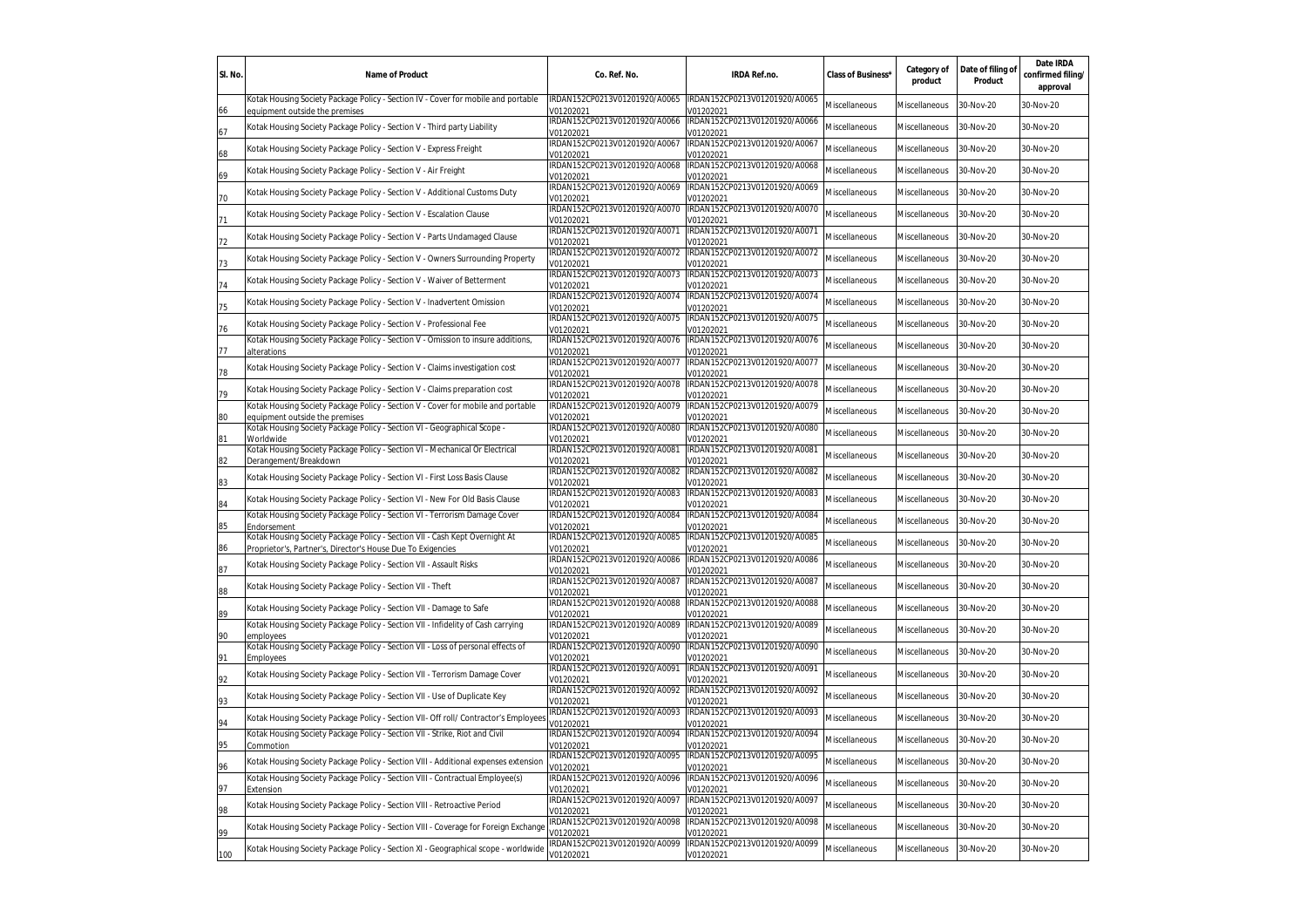| SI. No. | <b>Name of Product</b>                                                                                                                     | Co. Ref. No.                               | IRDA Ref.no.                               | Class of Business*   | Category of<br>product | Date of filing of<br>Product | Date IRDA<br>confirmed filing/<br>approval |
|---------|--------------------------------------------------------------------------------------------------------------------------------------------|--------------------------------------------|--------------------------------------------|----------------------|------------------------|------------------------------|--------------------------------------------|
| 66      | Kotak Housing Society Package Policy - Section IV - Cover for mobile and portable<br>equipment outside the premises                        | IRDAN152CP0213V01201920/A0065<br>/01202021 | IRDAN152CP0213V01201920/A0065<br>/01202021 | Miscellaneous        | Miscellaneous          | 30-Nov-20                    | 30-Nov-20                                  |
| 67      | Kotak Housing Society Package Policy - Section V - Third party Liability                                                                   | IRDAN152CP0213V01201920/A0066<br>/01202021 | IRDAN152CP0213V01201920/A0066<br>/01202021 | Miscellaneous        | Miscellaneous          | 30-Nov-20                    | 30-Nov-20                                  |
| 68      | Kotak Housing Society Package Policy - Section V - Express Freight                                                                         | IRDAN152CP0213V01201920/A0067<br>/01202021 | IRDAN152CP0213V01201920/A0067<br>/01202021 | Miscellaneous        | Miscellaneous          | 30-Nov-20                    | 30-Nov-20                                  |
| 69      | Kotak Housing Society Package Policy - Section V - Air Freight                                                                             | IRDAN152CP0213V01201920/A0068<br>/01202021 | IRDAN152CP0213V01201920/A0068<br>/01202021 | <b>Miscellaneous</b> | Miscellaneous          | 30-Nov-20                    | 30-Nov-20                                  |
| 70      | Kotak Housing Society Package Policy - Section V - Additional Customs Duty                                                                 | IRDAN152CP0213V01201920/A0069<br>/01202021 | IRDAN152CP0213V01201920/A0069<br>/01202021 | Miscellaneous        | <b>Miscellaneous</b>   | 30-Nov-20                    | 30-Nov-20                                  |
| 71      | Kotak Housing Society Package Policy - Section V - Escalation Clause                                                                       | IRDAN152CP0213V01201920/A0070<br>V01202021 | IRDAN152CP0213V01201920/A0070<br>/01202021 | Miscellaneous        | <b>Miscellaneous</b>   | 30-Nov-20                    | 30-Nov-20                                  |
| 72      | Kotak Housing Society Package Policy - Section V - Parts Undamaged Clause                                                                  | IRDAN152CP0213V01201920/A0071<br>V01202021 | IRDAN152CP0213V01201920/A0071<br>/01202021 | Miscellaneous        | Miscellaneous          | 30-Nov-20                    | 30-Nov-20                                  |
| 73      | Kotak Housing Society Package Policy - Section V - Owners Surrounding Property                                                             | IRDAN152CP0213V01201920/A0072<br>V01202021 | IRDAN152CP0213V01201920/A0072<br>/01202021 | Miscellaneous        | Miscellaneous          | 30-Nov-20                    | 30-Nov-20                                  |
| 74      | Kotak Housing Society Package Policy - Section V - Waiver of Betterment                                                                    | IRDAN152CP0213V01201920/A0073<br>V01202021 | IRDAN152CP0213V01201920/A0073<br>/01202021 | Miscellaneous        | Miscellaneous          | 30-Nov-20                    | 30-Nov-20                                  |
| 75      | Kotak Housing Society Package Policy - Section V - Inadvertent Omission                                                                    | IRDAN152CP0213V01201920/A0074<br>V01202021 | IRDAN152CP0213V01201920/A0074<br>/01202021 | <b>Miscellaneous</b> | Miscellaneous          | 30-Nov-20                    | 30-Nov-20                                  |
| 76      | Kotak Housing Society Package Policy - Section V - Professional Fee                                                                        | IRDAN152CP0213V01201920/A0075<br>V01202021 | IRDAN152CP0213V01201920/A0075<br>/01202021 | <b>Miscellaneous</b> | Miscellaneous          | 30-Nov-20                    | 30-Nov-20                                  |
| 77      | Kotak Housing Society Package Policy - Section V - Omission to insure additions,<br>alterations                                            | IRDAN152CP0213V01201920/A0076<br>V01202021 | IRDAN152CP0213V01201920/A0076<br>/01202021 | <b>Miscellaneous</b> | Miscellaneous          | 30-Nov-20                    | 30-Nov-20                                  |
| 78      | Kotak Housing Society Package Policy - Section V - Claims investigation cost                                                               | IRDAN152CP0213V01201920/A0077<br>/01202021 | IRDAN152CP0213V01201920/A0077<br>/01202021 | <b>Miscellaneous</b> | Miscellaneous          | 30-Nov-20                    | 30-Nov-20                                  |
| 79      | Kotak Housing Society Package Policy - Section V - Claims preparation cost                                                                 | IRDAN152CP0213V01201920/A0078<br>/01202021 | IRDAN152CP0213V01201920/A0078<br>/01202021 | Miscellaneous        | Miscellaneous          | 30-Nov-20                    | 30-Nov-20                                  |
| 80      | Kotak Housing Society Package Policy - Section V - Cover for mobile and portable<br>equipment outside the premises                         | IRDAN152CP0213V01201920/A0079<br>/01202021 | RDAN152CP0213V01201920/A0079<br>/01202021  | Miscellaneous        | Miscellaneous          | 30-Nov-20                    | 30-Nov-20                                  |
| 81      | Kotak Housing Society Package Policy - Section VI - Geographical Scope -<br>Worldwide                                                      | RDAN152CP0213V01201920/A0080<br>/01202021  | IRDAN152CP0213V01201920/A0080<br>/01202021 | Miscellaneous        | Miscellaneous          | 30-Nov-20                    | 30-Nov-20                                  |
| 82      | Kotak Housing Society Package Policy - Section VI - Mechanical Or Electrical<br>Derangement/Breakdown                                      | RDAN152CP0213V01201920/A0081<br>/01202021  | IRDAN152CP0213V01201920/A0081<br>V01202021 | Miscellaneous        | Miscellaneous          | 30-Nov-20                    | 30-Nov-20                                  |
| 83      | Kotak Housing Society Package Policy - Section VI - First Loss Basis Clause                                                                | IRDAN152CP0213V01201920/A0082<br>V01202021 | IRDAN152CP0213V01201920/A0082<br>V01202021 | Miscellaneous        | Miscellaneous          | 30-Nov-20                    | 30-Nov-20                                  |
| 84      | Kotak Housing Society Package Policy - Section VI - New For Old Basis Clause                                                               | IRDAN152CP0213V01201920/A0083<br>V01202021 | IRDAN152CP0213V01201920/A0083<br>/01202021 | Miscellaneous        | Miscellaneous          | 30-Nov-20                    | 30-Nov-20                                  |
| 85      | Kotak Housing Society Package Policy - Section VI - Terrorism Damage Cover<br>Endorsement                                                  | IRDAN152CP0213V01201920/A0084<br>/01202021 | IRDAN152CP0213V01201920/A0084<br>V01202021 | <b>Miscellaneous</b> | Miscellaneous          | 30-Nov-20                    | 30-Nov-20                                  |
| 86      | Kotak Housing Society Package Policy - Section VII - Cash Kept Overnight At<br>Proprietor's, Partner's, Director's House Due To Exigencies | IRDAN152CP0213V01201920/A0085<br>V01202021 | IRDAN152CP0213V01201920/A0085<br>V01202021 | Miscellaneous        | Miscellaneous          | 30-Nov-20                    | 30-Nov-20                                  |
| 87      | Kotak Housing Society Package Policy - Section VII - Assault Risks                                                                         | RDAN152CP0213V01201920/A0086<br>/01202021  | IRDAN152CP0213V01201920/A0086<br>/01202021 | Miscellaneous        | Miscellaneous          | 30-Nov-20                    | 30-Nov-20                                  |
| 88      | Kotak Housing Society Package Policy - Section VII - Theft                                                                                 | RDAN152CP0213V01201920/A0087<br>/01202021  | IRDAN152CP0213V01201920/A0087<br>/01202021 | Miscellaneous        | Miscellaneous          | 30-Nov-20                    | 30-Nov-20                                  |
| 89      | Kotak Housing Society Package Policy - Section VII - Damage to Safe                                                                        | IRDAN152CP0213V01201920/A0088<br>/01202021 | IRDAN152CP0213V01201920/A0088<br>/01202021 | Miscellaneous        | Miscellaneous          | 30-Nov-20                    | 30-Nov-20                                  |
| 90      | Kotak Housing Society Package Policy - Section VII - Infidelity of Cash carrying<br>emplovees                                              | IRDAN152CP0213V01201920/A0089<br>/01202021 | IRDAN152CP0213V01201920/A0089<br>/01202021 | Miscellaneous        | Miscellaneous          | 30-Nov-20                    | 30-Nov-20                                  |
| 91      | Kotak Housing Society Package Policy - Section VII - Loss of personal effects of<br><b>Imployees</b>                                       | IRDAN152CP0213V01201920/A0090<br>/01202021 | IRDAN152CP0213V01201920/A0090<br>/01202021 | Miscellaneous        | Miscellaneous          | 30-Nov-20                    | 30-Nov-20                                  |
| 92      | Kotak Housing Society Package Policy - Section VII - Terrorism Damage Cover                                                                | IRDAN152CP0213V01201920/A0091<br>/01202021 | IRDAN152CP0213V01201920/A0091<br>/01202021 | Miscellaneous        | Miscellaneous          | 30-Nov-20                    | 30-Nov-20                                  |
| 93      | Kotak Housing Society Package Policy - Section VII - Use of Duplicate Key                                                                  | IRDAN152CP0213V01201920/A0092<br>/01202021 | IRDAN152CP0213V01201920/A0092<br>/01202021 | Miscellaneous        | Miscellaneous          | 30-Nov-20                    | 30-Nov-20                                  |
| 94      | Kotak Housing Society Package Policy - Section VII- Off roll/ Contractor's Employees                                                       | RDAN152CP0213V01201920/A0093<br>V01202021  | IRDAN152CP0213V01201920/A0093<br>/01202021 | Miscellaneous        | Miscellaneous          | 30-Nov-20                    | 30-Nov-20                                  |
| 95      | Kotak Housing Society Package Policy - Section VII - Strike, Riot and Civil<br>Commotion                                                   | IRDAN152CP0213V01201920/A0094<br>V01202021 | IRDAN152CP0213V01201920/A0094<br>/01202021 | Miscellaneous        | Miscellaneous          | 30-Nov-20                    | 30-Nov-20                                  |
| 96      | Kotak Housing Society Package Policy - Section VIII - Additional expenses extension                                                        | RDAN152CP0213V01201920/A0095<br>/01202021  | IRDAN152CP0213V01201920/A0095<br>/01202021 | Miscellaneous        | Miscellaneous          | 30-Nov-20                    | 30-Nov-20                                  |
| 97      | Kotak Housing Society Package Policy - Section VIII - Contractual Employee(s)<br>Extension                                                 | IRDAN152CP0213V01201920/A0096<br>/01202021 | IRDAN152CP0213V01201920/A0096<br>/01202021 | Miscellaneous        | Miscellaneous          | 30-Nov-20                    | 30-Nov-20                                  |
| 98      | Kotak Housing Society Package Policy - Section VIII - Retroactive Period                                                                   | IRDAN152CP0213V01201920/A0097<br>V01202021 | RDAN152CP0213V01201920/A0097<br>V01202021  | Miscellaneous        | Miscellaneous          | 30-Nov-20                    | 30-Nov-20                                  |
| 99      | Kotak Housing Society Package Policy - Section VIII - Coverage for Foreign Exchange                                                        | IRDAN152CP0213V01201920/A0098<br>V01202021 | IRDAN152CP0213V01201920/A0098<br>/01202021 | <b>Miscellaneous</b> | Miscellaneous          | 30-Nov-20                    | 30-Nov-20                                  |
| 100     | Kotak Housing Society Package Policy - Section XI - Geographical scope - worldwide                                                         | IRDAN152CP0213V01201920/A0099<br>V01202021 | IRDAN152CP0213V01201920/A0099<br>V01202021 | Miscellaneous        | Miscellaneous          | 30-Nov-20                    | 30-Nov-20                                  |